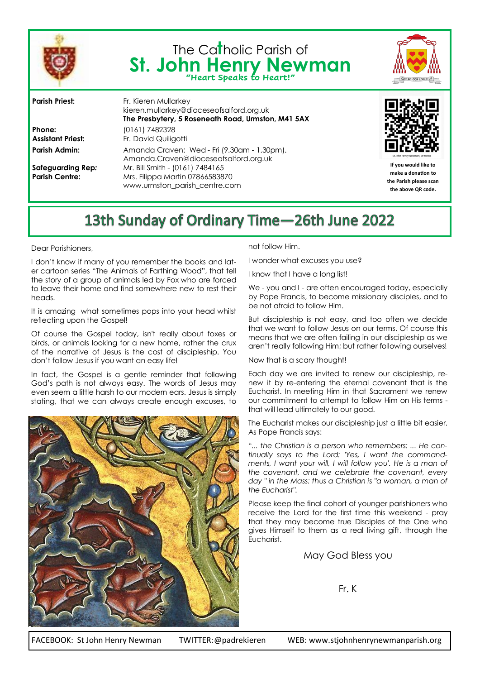

# The Ca**t**holic Parish of St. John Henry Newman



**Phone:** (0161) 7482328

**Parish Priest:** Fr. Kieren Mullarkey kieren.mullarkey@dioceseofsalford.org.uk **The Presbytery, 5 Roseneath Road, Urmston, M41 5AX Assistant Priest:** Fr. David Quiligotti Parish Admin: Amanda Craven: Wed - Fri (9.30am - 1.30pm). Amanda.Craven@dioceseofsalford.org.uk **Safeguarding Rep***:* Mr. Bill Smith - (0161) 7484165 **Parish Centre:** Mrs. Filippa Martin 07866583870 www.urmston\_parish\_centre.com



**If you would like to make a donation to the Parish please scan the above QR code.**

## 13th Sunday of Ordinary Time-26th June 2022

Dear Parishioners,

I don't know if many of you remember the books and later cartoon series "The Animals of Farthing Wood", that tell the story of a group of animals led by Fox who are forced to leave their home and find somewhere new to rest their heads.

It is amazing what sometimes pops into your head whilst reflecting upon the Gospel!

Of course the Gospel today, isn't really about foxes or birds, or animals looking for a new home, rather the crux of the narrative of Jesus is the cost of discipleship. You don't follow Jesus if you want an easy life!

In fact, the Gospel is a gentle reminder that following God's path is not always easy. The words of Jesus may even seem a little harsh to our modern ears. Jesus is simply stating, that we can always create enough excuses, to



not follow Him.

I wonder what excuses you use?

I know that I have a long list!

We - you and I - are often encouraged today, especially by Pope Francis, to become missionary disciples, and to be not afraid to follow Him.

But discipleship is not easy, and too often we decide that we want to follow Jesus on our terms. Of course this means that we are often failing in our discipleship as we aren't really following Him; but rather following ourselves!

Now that is a scary thought!

Each day we are invited to renew our discipleship, renew it by re-entering the eternal covenant that is the Eucharist. In meeting Him in that Sacrament we renew our commitment to attempt to follow Him on His terms that will lead ultimately to our good.

The Eucharist makes our discipleship just a little bit easier. As Pope Francis says:

"*... the Christian is a person who remembers: ... He continually says to the Lord: 'Yes, I want the commandments, I want your will, I will follow you'. He is a man of the covenant, and we celebrate the covenant, every day " in the Mass: thus a Christian is "a woman, a man of the Eucharist".* 

Please keep the final cohort of younger parishioners who receive the Lord for the first time this weekend - pray that they may become true Disciples of the One who gives Himself to them as a real living gift, through the Eucharist.

May God Bless you

Fr. K

FACEBOOK: St John Henry Newman TWITTER:@padrekieren WEB: www.stjohnhenrynewmanparish.org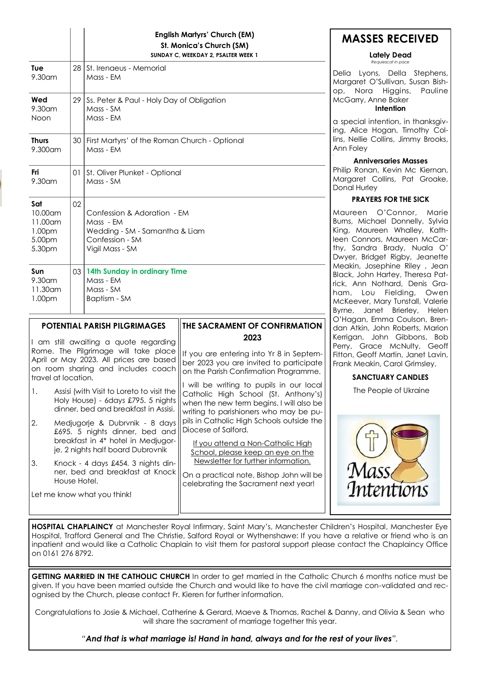|                                                                                                                                                                                       |                                                                                                                         |                                                                        | <b>English Martyrs' Church (EM)</b><br>St. Monica's Church (SM)<br>SUNDAY C, WEEKDAY 2, PSALTER WEEK 1                                                                 | M,                                                  |
|---------------------------------------------------------------------------------------------------------------------------------------------------------------------------------------|-------------------------------------------------------------------------------------------------------------------------|------------------------------------------------------------------------|------------------------------------------------------------------------------------------------------------------------------------------------------------------------|-----------------------------------------------------|
| Tue<br>9.30 am                                                                                                                                                                        | 28                                                                                                                      | St. Irenaeus - Memorial<br>Delia<br>Mass - EM<br>Margo                 |                                                                                                                                                                        |                                                     |
| Wed<br>9.30am<br>Noon                                                                                                                                                                 | 29                                                                                                                      | Ss. Peter & Paul - Holy Day of Obligation<br>Mass - SM<br>Mass - EM    |                                                                                                                                                                        | op,<br>McGo<br>a spe<br>ing, A<br>lins, N<br>Ann Fo |
| <b>Thurs</b><br>9.300 am                                                                                                                                                              | 30                                                                                                                      | First Martyrs' of the Roman Church - Optional<br>Mass - EM             |                                                                                                                                                                        |                                                     |
| Fri<br>9.30am                                                                                                                                                                         | 01                                                                                                                      | St. Oliver Plunket - Optional<br>Mass - SM                             |                                                                                                                                                                        | Philip<br>Margo<br>Donal                            |
| Sat<br>10.00 am<br>11.00am<br>1.00pm<br>5.00pm<br>5.30pm                                                                                                                              | 02<br>Confession & Adoration - EM<br>Mass - EM<br>Wedding - SM - Samantha & Liam<br>Confession - SM<br>Vigil Mass - SM  |                                                                        | Maure<br>Burns,<br>King,<br>leen (<br>thy, s<br>Dwyer                                                                                                                  |                                                     |
| Sun<br>9.30am<br>11.30 am<br>1.00pm                                                                                                                                                   | 03                                                                                                                      | 14th Sunday in ordinary Time<br>Mass - EM<br>Mass - SM<br>Baptism - SM |                                                                                                                                                                        | Meaki<br>Black,<br>rick,<br>ham,<br>McKe<br>Byrne,  |
|                                                                                                                                                                                       |                                                                                                                         | POTENTIAL PARISH PILGRIMAGES                                           | THE SACRAMENT OF CONFIRMATION                                                                                                                                          | O'Hag<br>dan A                                      |
| I am still awaiting a quote regarding<br>Rome. The Pilgrimage will take place<br>April or May 2023. All prices are based<br>on room sharing and includes coach<br>travel at location. |                                                                                                                         |                                                                        | 2023<br>If you are entering into Yr 8 in Septem-<br>ber 2023 you are invited to participate<br>on the Parish Confirmation Programme.                                   | Kerrig<br>Perry,<br>Fitton,<br>Frank                |
| 1.                                                                                                                                                                                    | Assisi (with Visit to Loreto to visit the<br>Holy House) - 6days £795. 5 nights<br>dinner, bed and breakfast in Assisi. |                                                                        | I will be writing to pupils in our local<br>Catholic High School (St. Anthony's)<br>when the new term begins. I will also be<br>writing to parishioners who may be pu- |                                                     |
| 2.<br>Medjugorje & Dubrvnik - 8 days<br>£695. 5 nights dinner, bed and<br>breakfast in 4* hotel in Medjugor-<br>je, 2 nights half board Dubrovnik                                     |                                                                                                                         |                                                                        | pils in Catholic High Schools outside the<br>Diocese of Salford.<br>If you attend a Non-Catholic High<br>School, please keep an eye on the                             |                                                     |
| 3.<br>Knock - 4 days £454. 3 nights din-<br>ner, bed and breakfast at Knock<br>House Hotel.                                                                                           |                                                                                                                         |                                                                        | Newsletter for further information.<br>On a practical note, Bishop John will be<br>celebrating the Sacrament next year!                                                |                                                     |
|                                                                                                                                                                                       |                                                                                                                         | Let me know what you think!                                            |                                                                                                                                                                        |                                                     |

**MASSES RECEIVED**

#### **Lately Dead**  *Requiescat in pace*

Lyons, Della Stephens, aret O'Sullivan, Susan Bish-Nora Higgins, Pauline arry, Anne Baker

#### **Intention**

cial intention, in thanksgiv-Nice Hogan, Timothy Collellie Collins, Jimmy Brooks, oley

#### **Anniversaries Masses**

Ronan, Kevin Mc Kiernan, aret Collins, Pat Groake, Hurley

## **PRAYERS FOR THE SICK**

een O'Connor, Marie Michael Donnelly, Sylvia Maureen Whalley, Kath-Connors, Maureen McCar-Sandra Brady, Nuala O' , Bridget Rigby, Jeanette in, Josephine Riley, Jean John Hartey, Theresa Pat-Ann Nothard, Denis Gra-Lou Fielding, Owen ever, Mary Tunstall, Valerie Janet Brierley, Helen gan, Emma Coulson, Bren-Atkin, John Roberts, Marion an, John Gibbons, Bob Grace McNulty, Geoff Geoff Martin, Janet Lavin, Meakin, Carol Grimsley,

## **SANCTUARY CANDLES**

The People of Ukraine



**HOSPITAL CHAPLAINCY** at Manchester Royal Infirmary, Saint Mary's, Manchester Children's Hospital, Manchester Eye Hospital, Trafford General and The Christie, Salford Royal or Wythenshawe: If you have a relative or friend who is an inpatient and would like a Catholic Chaplain to visit them for pastoral support please contact the Chaplaincy Office on 0161 276 8792.

**GETTING MARRIED IN THE CATHOLIC CHURCH** In order to get married in the Catholic Church 6 months notice must be given. If you have been married outside the Church and would like to have the civil marriage con-validated and recognised by the Church, please contact Fr. Kieren for further information.

Congratulations to Josie & Michael, Catherine & Gerard, Maeve & Thomas, Rachel & Danny, and Olivia & Sean who will share the sacrament of marriage together this year.

*"And that is what marriage is! Hand in hand, always and for the rest of your lives".*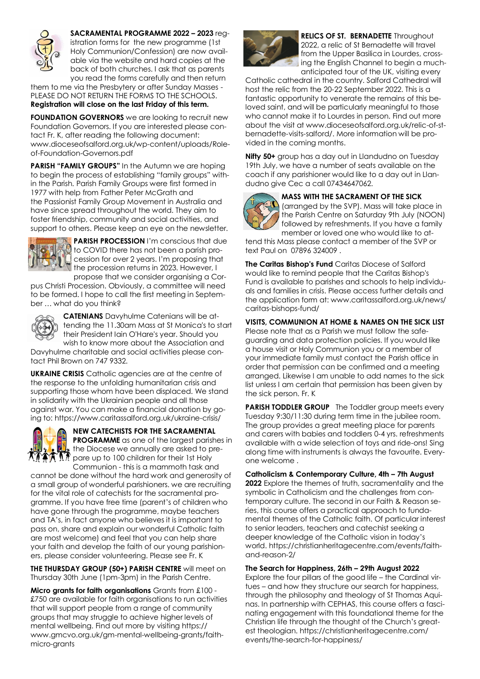

**SACRAMENTAL PROGRAMME 2022 – 2023** registration forms for the new programme (1st Holy Communion/Confession) are now available via the website and hard copies at the back of both churches. I ask that as parents you read the forms carefully and then return

them to me via the Presbytery or after Sunday Masses - PLEASE DO NOT RETURN THE FORMS TO THE SCHOOLS. **Registration will close on the last Friday of this term.**

**FOUNDATION GOVERNORS** we are looking to recruit new Foundation Governors. If you are interested please contact Fr. K, after reading the following document: www.dioceseofsalford.org.uk/wp-content/uploads/Roleof-Foundation-Governors.pdf

**PARISH "FAMILY GROUPS"** In the Autumn we are hoping to begin the process of establishing "family groups" within the Parish. Parish Family Groups were first formed in 1977 with help from Father Peter McGrath and the Passionist Family Group Movement in Australia and have since spread throughout the world. They aim to foster friendship, community and social activities, and support to others. Please keep an eye on the newsletter.



**PARISH PROCESSION** I'm conscious that due **I** to COVID there has not been a parish procession for over 2 years. I'm proposing that the procession returns in 2023. However, I propose that we consider organising a Cor-

pus Christi Procession. Obviously, a committee will need to be formed. I hope to call the first meeting in September … what do you think?



**CATENIANS** Davyhulme Catenians will be attending the 11.30am Mass at St Monica's to start their President Iain O'Hare's year. Should you wish to know more about the Association and Davyhulme charitable and social activities please con-

tact Phil Brown on 747 9332.

**UKRAINE CRISIS** Catholic agencies are at the centre of the response to the unfolding humanitarian crisis and supporting those whom have been displaced. We stand in solidarity with the Ukrainian people and all those against war. You can make a financial donation by going to: https://www.caritassalford.org.uk/ukraine-crisis/



**NEW CATECHISTS FOR THE SACRAMENTAL PROGRAMME** as one of the largest parishes in the Diocese we annually are asked to pre- $\mathcal{P}$  in the Diocese working single their 1st Holy<br> $\mathcal{P}$  pare up to 100 children for their 1st Holy Communion - this is a mammoth task and

cannot be done without the hard work and generosity of a small group of wonderful parishioners. we are recruiting for the vital role of catechists for the sacramental programme. If you have free time (parent's of children who have gone through the programme, maybe teachers and TA's, in fact anyone who believes it is important to pass on, share and explain our wonderful Catholic faith are most welcome) and feel that you can help share your faith and develop the faith of our young parishioners, please consider volunteering. Please see Fr. K

**THE THURSDAY GROUP (50+) PARISH CENTRE** will meet on Thursday 30th June (1pm-3pm) in the Parish Centre.

**Micro grants for faith organisations** Grants from £100 - £750 are available for faith organisations to run activities that will support people from a range of community groups that may struggle to achieve higher levels of mental wellbeing. Find out more by visiting https:// www.gmcvo.org.uk/gm-mental-wellbeing-grants/faithmicro-grants



**RELICS OF ST. BERNADETTE** Throughout 2022, a relic of St Bernadette will travel from the Upper Basilica in Lourdes, crossing the English Channel to begin a muchanticipated tour of the UK, visiting every

Catholic cathedral in the country. Salford Cathedral will host the relic from the 20-22 September 2022. This is a fantastic opportunity to venerate the remains of this beloved saint, and will be particularly meaningful to those who cannot make it to Lourdes in person. Find out more about the visit at www.dioceseofsalford.org.uk/relic-of-stbernadette-visits-salford/. More information will be provided in the coming months.

**Nifty 50+** group has a day out in Llandudno on Tuesday 19th July, we have a number of seats available on the coach if any parishioner would like to a day out in Llandudno give Cec a call 07434647062.

## **MASS WITH THE SACRAMENT OF THE SICK**



(arranged by the SVP). Mass will take place in the Parish Centre on Saturday 9th July (NOON) followed by refreshments. If you have a family member or loved one who would like to at-

tend this Mass please contact a member of the SVP or text Paul on 07896 324009 .

**The Caritas Bishop's Fund** Caritas Diocese of Salford would like to remind people that the Caritas Bishop's Fund is available to parishes and schools to help individuals and families in crisis. Please access further details and the application form at: www.caritassalford.org.uk/news/ caritas-bishops-fund/

**VISITS, COMMUNION AT HOME & NAMES ON THE SICK LIST**  Please note that as a Parish we must follow the safeguarding and data protection policies. If you would like a house visit or Holy Communion you or a member of your immediate family must contact the Parish office in order that permission can be confirmed and a meeting arranged. Likewise I am unable to add names to the sick list unless I am certain that permission has been given by the sick person. Fr. K

**PARISH TODDLER GROUP** The Toddler group meets every Tuesday 9:30/11:30 during term time in the jubilee room. The group provides a great meeting place for parents and carers with babies and toddlers 0-4 yrs. refreshments available with a wide selection of toys and ride-ons! Sing along time with instruments is always the favourite. Everyone welcome .

## **Catholicism & Contemporary Culture, 4th – 7th August**

**2022** Explore the themes of truth, sacramentality and the symbolic in Catholicism and the challenges from contemporary culture. The second in our Faith & Reason series, this course offers a practical approach to fundamental themes of the Catholic faith. Of particular interest to senior leaders, teachers and catechist seeking a deeper knowledge of the Catholic vision in today's world. https://christianheritagecentre.com/events/faithand-reason-2/

## **The Search for Happiness, 26th – 29th August 2022**

Explore the four pillars of the good life – the Cardinal virtues – and how they structure our search for happiness, through the philosophy and theology of St Thomas Aquinas. In partnership with CEPHAS, this course offers a fascinating engagement with this foundational theme for the Christian life through the thought of the Church's greatest theologian. https://christianheritagecentre.com/ events/the-search-for-happiness/